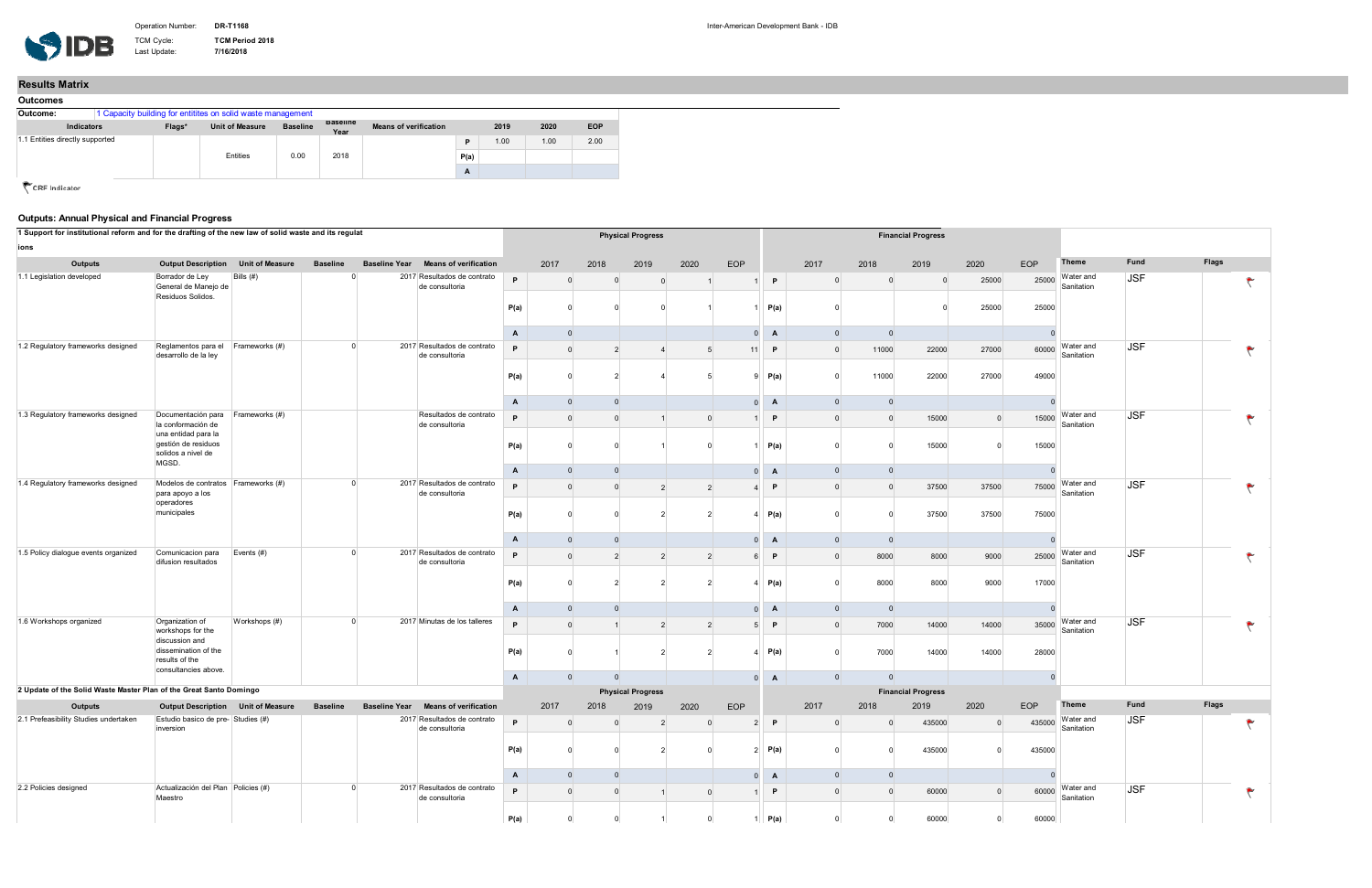Last Update:

TCM Cycle: **TCM Period 2018**<br>Last Update: **7/16/2018** 

| 1 Support for institutional reform and for the drafting of the new law of solid waste and its regulat |                                                            |                                       |                                                           |                      |                                                             |                          |                |                | <b>Physical Progress</b>       |                |                                  |                     |                |                           | <b>Financial Progress</b> |                         |                         |                         |            |       |  |
|-------------------------------------------------------------------------------------------------------|------------------------------------------------------------|---------------------------------------|-----------------------------------------------------------|----------------------|-------------------------------------------------------------|--------------------------|----------------|----------------|--------------------------------|----------------|----------------------------------|---------------------|----------------|---------------------------|---------------------------|-------------------------|-------------------------|-------------------------|------------|-------|--|
| ions                                                                                                  |                                                            |                                       |                                                           |                      |                                                             |                          |                |                |                                |                |                                  |                     |                |                           |                           |                         |                         | Theme                   | Fund       | Flags |  |
| Outputs<br>1.1 Legislation developed                                                                  | <b>Output Description</b><br>Borrador de Ley               | <b>Unit of Measure</b><br>Bills $(#)$ | <b>Baseline</b>                                           | <b>Baseline Year</b> | <b>Means of verification</b><br>2017 Resultados de contrato | P.                       | 2017           | 2018           | 2019                           | 2020           | EOP                              |                     | 2017           | 2018                      | 2019                      | 2020                    | EOP                     | Water and               | <b>JSF</b> |       |  |
|                                                                                                       | General de Manejo de<br>Residuos Solidos.                  |                                       | de consultoria                                            |                      | P(a)                                                        | $\Omega$                 |                | $\Omega$       |                                |                | P<br>P(a)                        |                     | - 0            | $\overline{0}$<br>- 0     | 25000<br>25000            | 25000<br>25000          | Sanitation              |                         |            |       |  |
|                                                                                                       |                                                            |                                       |                                                           |                      |                                                             | A                        | $\Omega$       |                |                                |                | $\Omega$                         | A                   | $\Omega$       | $\overline{0}$            |                           |                         |                         |                         |            |       |  |
| 1.2 Regulatory frameworks designed                                                                    | Reglamentos para el Frameworks (#)<br>desarrollo de la ley |                                       | $\Omega$<br>de consultoria                                |                      | 2017 Resultados de contrato                                 | P                        | $\Omega$       |                |                                | 5              | 11                               | P                   |                | 11000                     | 22000                     | 27000                   | 60000                   | Water and<br>Sanitation | <b>JSF</b> |       |  |
|                                                                                                       |                                                            |                                       |                                                           |                      | P(a)                                                        |                          |                |                |                                |                | P(a)<br>-9                       |                     | 11000          | 22000                     | 27000                     | 49000                   |                         |                         |            |       |  |
|                                                                                                       |                                                            |                                       |                                                           |                      |                                                             | A                        | $\Omega$       |                | $\overline{0}$                 |                |                                  | $\Omega$<br>A       |                | $\overline{0}$            |                           |                         |                         |                         |            |       |  |
| 1.3 Regulatory frameworks designed                                                                    | Documentación para Frameworks (#)<br>la conformación de    |                                       | Resultados de contrato<br>de consultoria                  |                      | <b>D</b>                                                    | $\Omega$                 |                |                | $\Omega$                       |                | P                                |                     | $\mathbf{0}$   | 15000                     | $\mathbf{0}$              | 15000                   | Water and<br>Sanitation | <b>JSF</b>              |            |       |  |
| una entidad para la<br>MGSD.                                                                          | gestión de residuos<br>solidos a nivel de                  |                                       |                                                           | P(a)                 |                                                             |                          |                |                |                                | P(a)           |                                  |                     | 15000          |                           | 15000                     |                         |                         |                         |            |       |  |
|                                                                                                       |                                                            |                                       |                                                           |                      |                                                             | A                        | $\Omega$       | $\mathbf{0}$   |                                |                |                                  | $\overline{0}$<br>A | $\Omega$       | $\overline{0}$            |                           |                         |                         |                         |            |       |  |
| 1.4 Regulatory frameworks designed<br>operadores                                                      | Modelos de contratos Frameworks (#)<br>para apoyo a los    |                                       | $\Omega$                                                  |                      | 2017 Resultados de contrato<br>de consultoria               | <b>D</b>                 | $\Omega$       |                | $\overline{2}$                 | $\overline{2}$ |                                  | P.                  |                | $\overline{0}$            | 37500                     | 37500                   | 75000                   | Water and<br>Sanitation | <b>JSF</b> |       |  |
|                                                                                                       | municipales                                                |                                       |                                                           |                      |                                                             | P(a)                     |                |                |                                |                |                                  | P(a)<br>4           |                |                           | 37500                     | 37500                   | 75000                   |                         |            |       |  |
|                                                                                                       |                                                            |                                       |                                                           |                      |                                                             | $\mathsf{A}$             |                |                |                                |                | $\Omega$                         | A                   | $\Omega$       | $\mathbf{0}$              |                           |                         |                         |                         |            |       |  |
| 1.5 Policy dialogue events organized                                                                  | Comunicacion para<br>difusion resultados                   | Events $(\#)$                         | $\Omega$                                                  |                      | 2017 Resultados de contrato<br>de consultoria               | Þ                        | $\Omega$       |                | $\overline{2}$                 | 2              |                                  | P.<br>6             |                | 8000                      | 8000                      | 9000                    | 25000                   | Water and<br>Sanitation | <b>JSF</b> |       |  |
|                                                                                                       |                                                            |                                       |                                                           |                      |                                                             | P(a)                     |                |                |                                |                |                                  | P(a)<br>4           |                | 8000                      | 8000                      | 9000                    | 17000                   |                         |            |       |  |
|                                                                                                       |                                                            |                                       |                                                           |                      |                                                             | A                        | $\Omega$       |                | $\Omega$                       |                |                                  | A<br>$\Omega$       | $\Omega$       | $\overline{0}$            |                           |                         |                         |                         |            |       |  |
| 1.6 Workshops organized                                                                               | Organization of<br>workshops for the<br>discussion and     | Workshops (#)                         | 2017 Minutas de los talleres<br>$\Omega$                  |                      | P                                                           | $\Omega$                 |                | $\overline{2}$ |                                |                | P<br>5 <sup>5</sup>              |                     | 7000           | 14000                     | 14000                     | 35000                   | Water and<br>Sanitation | <b>JSF</b>              |            |       |  |
|                                                                                                       | dissemination of the<br>results of the                     |                                       |                                                           |                      | P(a)                                                        |                          |                |                |                                |                | $\overline{4}$                   | P(a)                |                | 7000                      | 14000                     | 14000                   | 28000                   |                         |            |       |  |
|                                                                                                       | consultancies above.                                       |                                       |                                                           |                      | $\mathsf{A}$                                                | $\Omega$                 |                |                |                                |                | A<br>$\Omega$                    |                     | $\Omega$       |                           |                           |                         |                         |                         |            |       |  |
| 2 Update of the Solid Waste Master Plan of the Great Santo Domingo                                    |                                                            |                                       |                                                           |                      |                                                             | <b>Physical Progress</b> |                |                |                                |                |                                  |                     |                | <b>Financial Progress</b> |                           |                         |                         |                         |            |       |  |
| Outputs                                                                                               | Output Description Unit of Measure                         |                                       | <b>Baseline</b>                                           | <b>Baseline Year</b> | <b>Means of verification</b>                                |                          | 2017           | 2018           | 2019                           | 2020           | EOP                              |                     | 2017           | 2018                      | 2019                      | 2020                    | EOP                     | Theme                   | Fund       | Flags |  |
| 2.1 Prefeasibility Studies undertaken                                                                 | Estudio basico de pre- Studies (#)<br>inversion            |                                       | 2017 Resultados de contrato<br>de consultoria             |                      | P.                                                          |                          |                |                | $\Omega$                       |                | P<br>$\overline{2}$              |                     |                | 435000<br>$\Omega$        | 435000                    | Water and<br>Sanitation | <b>JSF</b>              |                         |            |       |  |
|                                                                                                       |                                                            |                                       |                                                           |                      | P(a)                                                        | $\overline{0}$           |                |                |                                |                | $2 \mid P(a)$                    |                     |                | 435000                    | $\Omega$                  | 435000                  |                         |                         |            |       |  |
|                                                                                                       |                                                            |                                       |                                                           |                      | $\mathsf{A}$                                                | $\overline{0}$           | $\overline{0}$ |                |                                |                | $\overline{0}$<br>$\overline{A}$ | $\overline{0}$      | $\overline{0}$ |                           |                           |                         |                         |                         |            |       |  |
| 2.2 Policies designed                                                                                 | Actualización del Plan Policies (#)<br>Maestro             |                                       | $\Omega$<br>2017 Resultados de contrato<br>de consultoria |                      |                                                             | P.                       | $\Omega$       |                | $\mathbf{0}$<br>$\overline{1}$ | $\mathbf{0}$   |                                  | $\mathsf{P}$        | $\Omega$       | $\overline{0}$            | 60000                     | $\Omega$                | 60000                   | Water and<br>Sanitation | <b>JSF</b> |       |  |
|                                                                                                       |                                                            |                                       |                                                           |                      | P(a)                                                        | $\Omega$                 |                |                |                                |                | $1 \mid P(a)$                    |                     | $\Omega$       | 60000                     | $\Omega$                  | 60000                   |                         |                         |            |       |  |

| <b>Outcomes</b>                                                         |  |        |                        |                 |                         |                              |      |      |      |            |  |  |  |
|-------------------------------------------------------------------------|--|--------|------------------------|-----------------|-------------------------|------------------------------|------|------|------|------------|--|--|--|
| 1 Capacity building for entitites on solid waste management<br>Outcome: |  |        |                        |                 |                         |                              |      |      |      |            |  |  |  |
| Indicators                                                              |  | Flags* | <b>Unit of Measure</b> | <b>Baseline</b> | <b>Baseline</b><br>Year | <b>Means of verification</b> |      | 2019 | 2020 | <b>EOP</b> |  |  |  |
| 1.1 Entities directly supported                                         |  |        |                        |                 |                         |                              | D    | 1.00 | 1.00 | 2.00       |  |  |  |
|                                                                         |  |        | Entities               | 0.00            | 2018                    |                              | P(a) |      |      |            |  |  |  |
|                                                                         |  |        |                        |                 |                         |                              | A    |      |      |            |  |  |  |

CRF Indicator

## **Outputs: Annual Physical and Financial Progress**

## **Results Matrix**